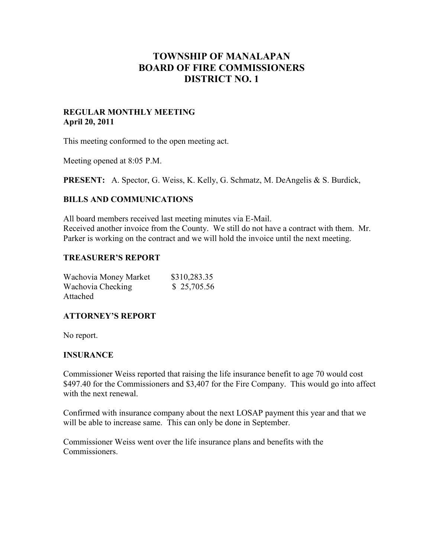# **TOWNSHIP OF MANALAPAN BOARD OF FIRE COMMISSIONERS DISTRICT NO. 1**

### **REGULAR MONTHLY MEETING April 20, 2011**

This meeting conformed to the open meeting act.

Meeting opened at 8:05 P.M.

**PRESENT:** A. Spector, G. Weiss, K. Kelly, G. Schmatz, M. DeAngelis & S. Burdick,

### **BILLS AND COMMUNICATIONS**

All board members received last meeting minutes via E-Mail. Received another invoice from the County. We still do not have a contract with them. Mr. Parker is working on the contract and we will hold the invoice until the next meeting.

### **TREASURER'S REPORT**

| Wachovia Money Market | \$310,283.35 |
|-----------------------|--------------|
| Wachovia Checking     | \$25,705.56  |
| Attached              |              |

### **ATTORNEY'S REPORT**

No report.

### **INSURANCE**

Commissioner Weiss reported that raising the life insurance benefit to age 70 would cost \$497.40 for the Commissioners and \$3,407 for the Fire Company. This would go into affect with the next renewal.

Confirmed with insurance company about the next LOSAP payment this year and that we will be able to increase same. This can only be done in September.

Commissioner Weiss went over the life insurance plans and benefits with the Commissioners.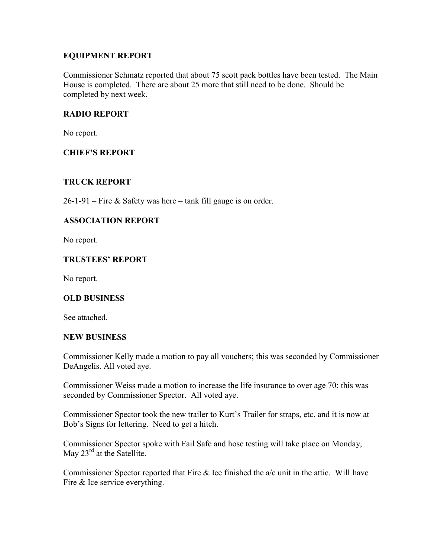# **EQUIPMENT REPORT**

Commissioner Schmatz reported that about 75 scott pack bottles have been tested. The Main House is completed. There are about 25 more that still need to be done. Should be completed by next week.

# **RADIO REPORT**

No report.

# **CHIEF'S REPORT**

# **TRUCK REPORT**

 $26-1-91$  – Fire & Safety was here – tank fill gauge is on order.

# **ASSOCIATION REPORT**

No report.

# **TRUSTEES' REPORT**

No report.

# **OLD BUSINESS**

See attached.

# **NEW BUSINESS**

Commissioner Kelly made a motion to pay all vouchers; this was seconded by Commissioner DeAngelis. All voted aye.

Commissioner Weiss made a motion to increase the life insurance to over age 70; this was seconded by Commissioner Spector. All voted aye.

Commissioner Spector took the new trailer to Kurt's Trailer for straps, etc. and it is now at Bob's Signs for lettering. Need to get a hitch.

Commissioner Spector spoke with Fail Safe and hose testing will take place on Monday, May  $23^{\text{rd}}$  at the Satellite.

Commissioner Spector reported that Fire & Ice finished the a/c unit in the attic. Will have Fire & Ice service everything.